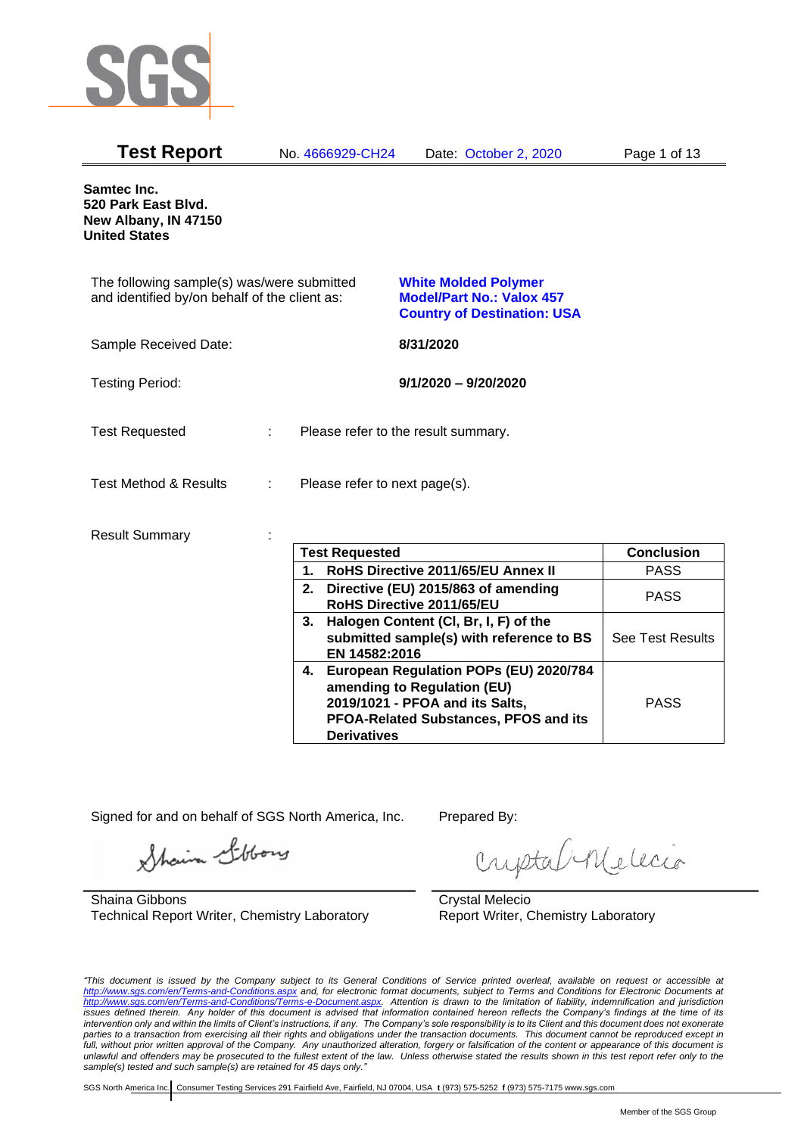

| <b>Test Report</b>                                                                          | No. 4666929-CH24              | Date: October 2, 2020                                                                                                                                | Page 1 of 13      |
|---------------------------------------------------------------------------------------------|-------------------------------|------------------------------------------------------------------------------------------------------------------------------------------------------|-------------------|
| Samtec Inc.<br>520 Park East Blvd.<br>New Albany, IN 47150<br><b>United States</b>          |                               |                                                                                                                                                      |                   |
| The following sample(s) was/were submitted<br>and identified by/on behalf of the client as: |                               | <b>White Molded Polymer</b><br><b>Model/Part No.: Valox 457</b><br><b>Country of Destination: USA</b>                                                |                   |
| Sample Received Date:                                                                       |                               | 8/31/2020                                                                                                                                            |                   |
| <b>Testing Period:</b>                                                                      |                               | $9/1/2020 - 9/20/2020$                                                                                                                               |                   |
| <b>Test Requested</b>                                                                       |                               | Please refer to the result summary.                                                                                                                  |                   |
| <b>Test Method &amp; Results</b>                                                            | Please refer to next page(s). |                                                                                                                                                      |                   |
| <b>Result Summary</b>                                                                       |                               |                                                                                                                                                      |                   |
|                                                                                             | <b>Test Requested</b>         |                                                                                                                                                      | <b>Conclusion</b> |
|                                                                                             | 1.                            | RoHS Directive 2011/65/EU Annex II                                                                                                                   | <b>PASS</b>       |
|                                                                                             |                               | 2. Directive (EU) 2015/863 of amending<br>RoHS Directive 2011/65/EU                                                                                  | <b>PASS</b>       |
|                                                                                             | EN 14582:2016                 | 3. Halogen Content (CI, Br, I, F) of the<br>submitted sample(s) with reference to BS                                                                 | See Test Results  |
|                                                                                             | <b>Derivatives</b>            | 4. European Regulation POPs (EU) 2020/784<br>amending to Regulation (EU)<br>2019/1021 - PFOA and its Salts,<br>PFOA-Related Substances, PFOS and its | <b>PASS</b>       |

Signed for and on behalf of SGS North America, Inc. Prepared By:

Shain Libbory

Shaina Gibbons Technical Report Writer, Chemistry Laboratory

criptal Melecio

Crystal Melecio Report Writer, Chemistry Laboratory

*"This document is issued by the Company subject to its General Conditions of Service printed overleaf, available on request or accessible at <http://www.sgs.com/en/Terms-and-Conditions.aspx> and, for electronic format documents, subject to Terms and Conditions for Electronic Documents at [http://www.sgs.com/en/Terms-and-Conditions/Terms-e-Document.aspx.](http://www.sgs.com/en/Terms-and-Conditions/Terms-e-Document.aspx) Attention is drawn to the limitation of liability, indemnification and jurisdiction issues defined therein. Any holder of this document is advised that information contained hereon reflects the Company's findings at the time of its intervention only and within the limits of Client's instructions, if any. The Company's sole responsibility is to its Client and this document does not exonerate parties to a transaction from exercising all their rights and obligations under the transaction documents. This document cannot be reproduced except in full, without prior written approval of the Company. Any unauthorized alteration, forgery or falsification of the content or appearance of this document is unlawful and offenders may be prosecuted to the fullest extent of the law. Unless otherwise stated the results shown in this test report refer only to the sample(s) tested and such sample(s) are retained for 45 days only."*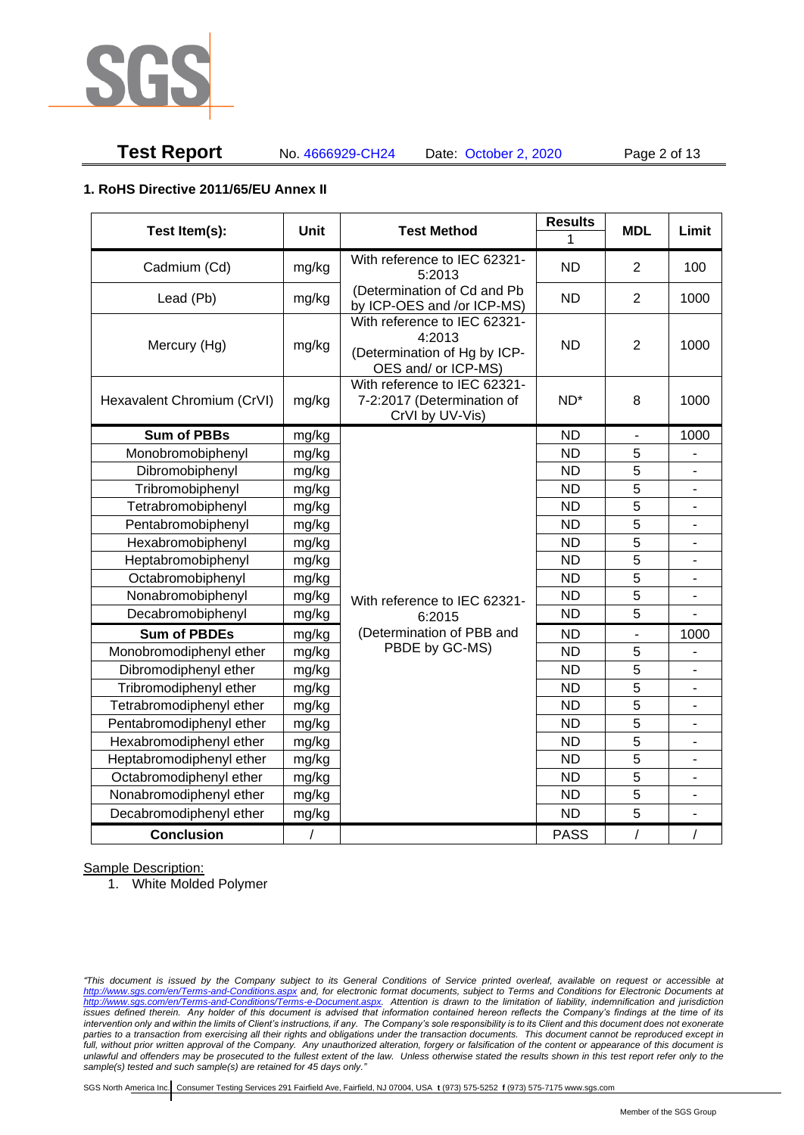

# **Test Report** No. 4666929-CH24 Date: October 2, 2020 Page 2 of 13

### **1. RoHS Directive 2011/65/EU Annex II**

| Test Item(s):              | <b>Unit</b> | <b>Test Method</b>                                                                            | <b>Results</b>  | <b>MDL</b>     | Limit                    |
|----------------------------|-------------|-----------------------------------------------------------------------------------------------|-----------------|----------------|--------------------------|
|                            |             |                                                                                               | 1               |                |                          |
| Cadmium (Cd)               | mg/kg       | With reference to IEC 62321-<br>5:2013                                                        | <b>ND</b>       | $\overline{2}$ | 100                      |
| Lead (Pb)                  | mg/kg       | (Determination of Cd and Pb<br>by ICP-OES and /or ICP-MS)                                     | <b>ND</b>       | $\overline{2}$ | 1000                     |
| Mercury (Hg)               | mg/kg       | With reference to IEC 62321-<br>4:2013<br>(Determination of Hg by ICP-<br>OES and/ or ICP-MS) | <b>ND</b>       | $\overline{2}$ | 1000                     |
| Hexavalent Chromium (CrVI) | mg/kg       | With reference to IEC 62321-<br>7-2:2017 (Determination of<br>CrVI by UV-Vis)                 | ND <sup>*</sup> | 8              | 1000                     |
| <b>Sum of PBBs</b>         | mg/kg       |                                                                                               | <b>ND</b>       | $\blacksquare$ | 1000                     |
| Monobromobiphenyl          | mg/kg       |                                                                                               | <b>ND</b>       | 5              |                          |
| Dibromobiphenyl            | mg/kg       |                                                                                               | <b>ND</b>       | 5              |                          |
| Tribromobiphenyl           | mg/kg       |                                                                                               | <b>ND</b>       | 5              | $\overline{a}$           |
| Tetrabromobiphenyl         | mg/kg       |                                                                                               | <b>ND</b>       | 5              |                          |
| Pentabromobiphenyl         | mg/kg       |                                                                                               | <b>ND</b>       | 5              |                          |
| Hexabromobiphenyl          | mg/kg       |                                                                                               | <b>ND</b>       | 5              |                          |
| Heptabromobiphenyl         | mg/kg       |                                                                                               | <b>ND</b>       | 5              | $\overline{\phantom{a}}$ |
| Octabromobiphenyl          | mg/kg       |                                                                                               | <b>ND</b>       | 5              | $\overline{\phantom{0}}$ |
| Nonabromobiphenyl          | mg/kg       | With reference to IEC 62321-                                                                  | <b>ND</b>       | 5              |                          |
| Decabromobiphenyl          | mg/kg       | 6:2015                                                                                        | <b>ND</b>       | 5              |                          |
| <b>Sum of PBDEs</b>        | mg/kg       | (Determination of PBB and                                                                     | <b>ND</b>       | ä,             | 1000                     |
| Monobromodiphenyl ether    | mg/kg       | PBDE by GC-MS)                                                                                | <b>ND</b>       | 5              |                          |
| Dibromodiphenyl ether      | mg/kg       |                                                                                               | <b>ND</b>       | 5              | -                        |
| Tribromodiphenyl ether     | mg/kg       |                                                                                               | <b>ND</b>       | 5              | $\overline{\phantom{a}}$ |
| Tetrabromodiphenyl ether   | mg/kg       |                                                                                               | <b>ND</b>       | 5              | $\overline{a}$           |
| Pentabromodiphenyl ether   | mg/kg       |                                                                                               | <b>ND</b>       | 5              |                          |
| Hexabromodiphenyl ether    | mg/kg       |                                                                                               | <b>ND</b>       | 5              |                          |
| Heptabromodiphenyl ether   | mg/kg       |                                                                                               | <b>ND</b>       | 5              | ÷,                       |
| Octabromodiphenyl ether    | mg/kg       |                                                                                               | <b>ND</b>       | $\overline{5}$ | L.                       |
| Nonabromodiphenyl ether    | mg/kg       |                                                                                               | <b>ND</b>       | 5              |                          |
| Decabromodiphenyl ether    | mg/kg       |                                                                                               | <b>ND</b>       | 5              | ä,                       |
| <b>Conclusion</b>          | $\sqrt{2}$  |                                                                                               | <b>PASS</b>     | $\overline{1}$ | $\sqrt{2}$               |

Sample Description:

1. White Molded Polymer

*"This document is issued by the Company subject to its General Conditions of Service printed overleaf, available on request or accessible at <http://www.sgs.com/en/Terms-and-Conditions.aspx> and, for electronic format documents, subject to Terms and Conditions for Electronic Documents at [http://www.sgs.com/en/Terms-and-Conditions/Terms-e-Document.aspx.](http://www.sgs.com/en/Terms-and-Conditions/Terms-e-Document.aspx) Attention is drawn to the limitation of liability, indemnification and jurisdiction issues defined therein. Any holder of this document is advised that information contained hereon reflects the Company's findings at the time of its intervention only and within the limits of Client's instructions, if any. The Company's sole responsibility is to its Client and this document does not exonerate parties to a transaction from exercising all their rights and obligations under the transaction documents. This document cannot be reproduced except in full, without prior written approval of the Company. Any unauthorized alteration, forgery or falsification of the content or appearance of this document is unlawful and offenders may be prosecuted to the fullest extent of the law. Unless otherwise stated the results shown in this test report refer only to the sample(s) tested and such sample(s) are retained for 45 days only."*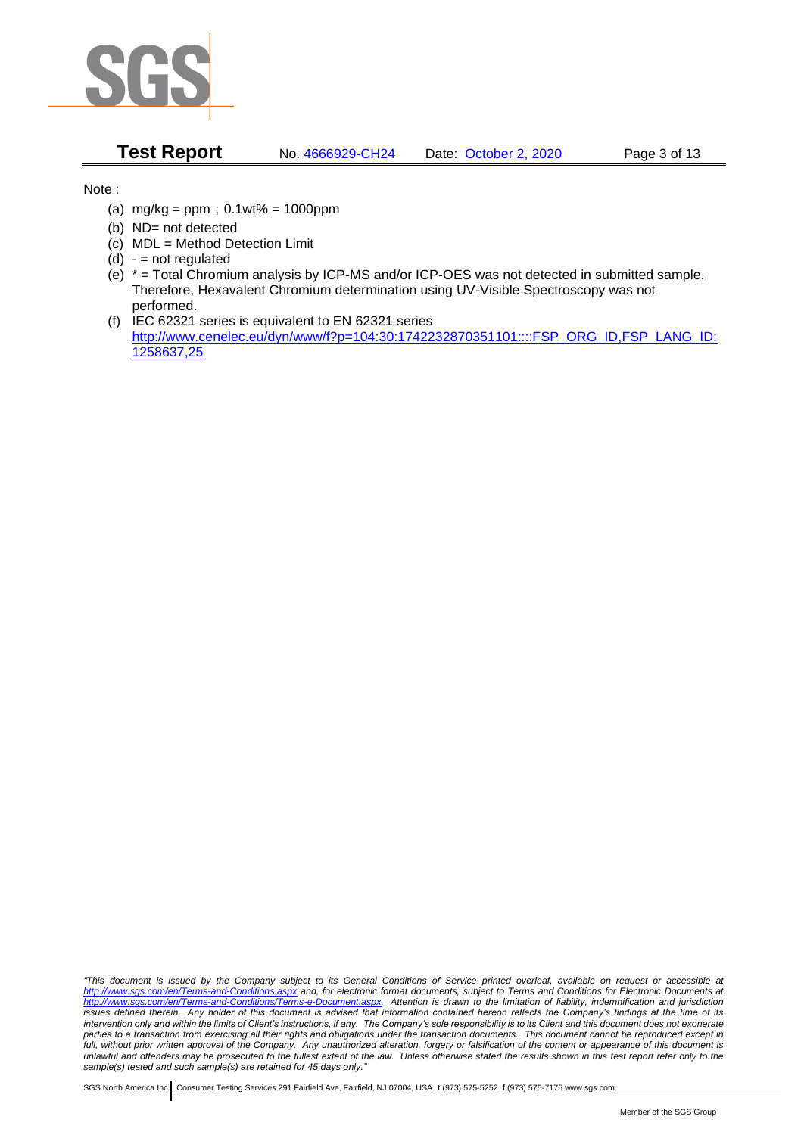

**Test Report** No. 4666929-CH24 Date: October 2, 2020 Page 3 of 13

Note :

- (a)  $mg/kg = ppm$ ;  $0.1wt% = 1000ppm$
- (b) ND= not detected
- (c) MDL = Method Detection Limit
- $(d) -$  = not regulated
- (e) \* = Total Chromium analysis by ICP-MS and/or ICP-OES was not detected in submitted sample. Therefore, Hexavalent Chromium determination using UV-Visible Spectroscopy was not performed.
- (f) IEC 62321 series is equivalent to EN 62321 series [http://www.cenelec.eu/dyn/www/f?p=104:30:1742232870351101::::FSP\\_ORG\\_ID,FSP\\_LANG\\_ID:](http://www.cenelec.eu/dyn/www/f?p=104:30:1742232870351101::::FSP_ORG_ID,FSP_LANG_ID:1258637,25) [1258637,25](http://www.cenelec.eu/dyn/www/f?p=104:30:1742232870351101::::FSP_ORG_ID,FSP_LANG_ID:1258637,25)

*"This document is issued by the Company subject to its General Conditions of Service printed overleaf, available on request or accessible at <http://www.sgs.com/en/Terms-and-Conditions.aspx> and, for electronic format documents, subject to Terms and Conditions for Electronic Documents at [http://www.sgs.com/en/Terms-and-Conditions/Terms-e-Document.aspx.](http://www.sgs.com/en/Terms-and-Conditions/Terms-e-Document.aspx) Attention is drawn to the limitation of liability, indemnification and jurisdiction issues defined therein. Any holder of this document is advised that information contained hereon reflects the Company's findings at the time of its intervention only and within the limits of Client's instructions, if any. The Company's sole responsibility is to its Client and this document does not exonerate parties to a transaction from exercising all their rights and obligations under the transaction documents. This document cannot be reproduced except in full, without prior written approval of the Company. Any unauthorized alteration, forgery or falsification of the content or appearance of this document is unlawful and offenders may be prosecuted to the fullest extent of the law. Unless otherwise stated the results shown in this test report refer only to the sample(s) tested and such sample(s) are retained for 45 days only."*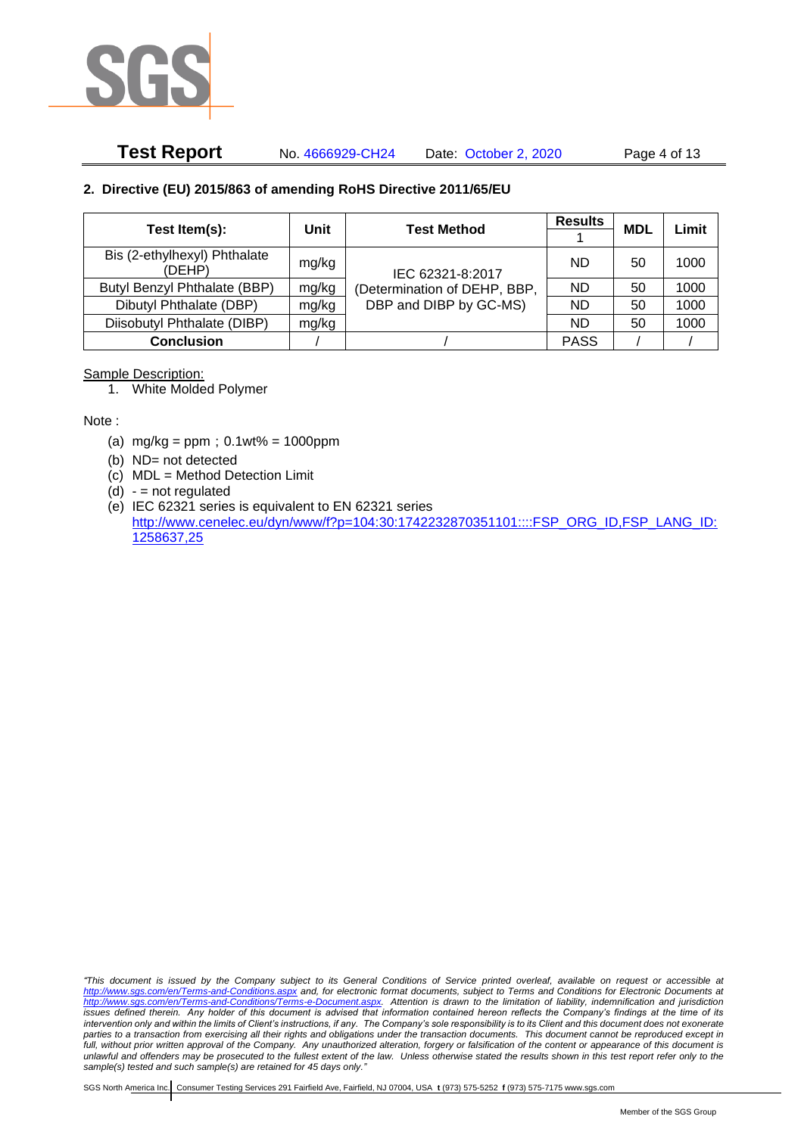

# **Test Report** No. 4666929-CH24 Date: October 2, 2020 Page 4 of 13

### **2. Directive (EU) 2015/863 of amending RoHS Directive 2011/65/EU**

|                                        | Unit  | <b>Test Method</b>                                     | <b>Results</b> | <b>MDL</b> | Limit |
|----------------------------------------|-------|--------------------------------------------------------|----------------|------------|-------|
| Test Item(s):                          |       |                                                        |                |            |       |
| Bis (2-ethylhexyl) Phthalate<br>(DEHP) | mg/kg | IEC 62321-8:2017                                       | ND             | 50         | 1000  |
| Butyl Benzyl Phthalate (BBP)           | mg/kg | (Determination of DEHP, BBP,<br>DBP and DIBP by GC-MS) | ND.            | 50         | 1000  |
| Dibutyl Phthalate (DBP)                | mg/kg |                                                        | ND.            | 50         | 1000  |
| Diisobutyl Phthalate (DIBP)            | mg/kg |                                                        | ND.            | 50         | 1000  |
| <b>Conclusion</b>                      |       |                                                        | <b>PASS</b>    |            |       |

#### Sample Description:

1. White Molded Polymer

Note :

- (a)  $mg/kg = ppm$ ;  $0.1wt% = 1000ppm$
- (b) ND= not detected
- (c) MDL = Method Detection Limit
- $(d) -$  = not regulated
- (e) IEC 62321 series is equivalent to EN 62321 series [http://www.cenelec.eu/dyn/www/f?p=104:30:1742232870351101::::FSP\\_ORG\\_ID,FSP\\_LANG\\_ID:](http://www.cenelec.eu/dyn/www/f?p=104:30:1742232870351101::::FSP_ORG_ID,FSP_LANG_ID:1258637,25) [1258637,25](http://www.cenelec.eu/dyn/www/f?p=104:30:1742232870351101::::FSP_ORG_ID,FSP_LANG_ID:1258637,25)

*"This document is issued by the Company subject to its General Conditions of Service printed overleaf, available on request or accessible at <http://www.sgs.com/en/Terms-and-Conditions.aspx> and, for electronic format documents, subject to Terms and Conditions for Electronic Documents at [http://www.sgs.com/en/Terms-and-Conditions/Terms-e-Document.aspx.](http://www.sgs.com/en/Terms-and-Conditions/Terms-e-Document.aspx) Attention is drawn to the limitation of liability, indemnification and jurisdiction issues defined therein. Any holder of this document is advised that information contained hereon reflects the Company's findings at the time of its intervention only and within the limits of Client's instructions, if any. The Company's sole responsibility is to its Client and this document does not exonerate parties to a transaction from exercising all their rights and obligations under the transaction documents. This document cannot be reproduced except in full, without prior written approval of the Company. Any unauthorized alteration, forgery or falsification of the content or appearance of this document is unlawful and offenders may be prosecuted to the fullest extent of the law. Unless otherwise stated the results shown in this test report refer only to the sample(s) tested and such sample(s) are retained for 45 days only."*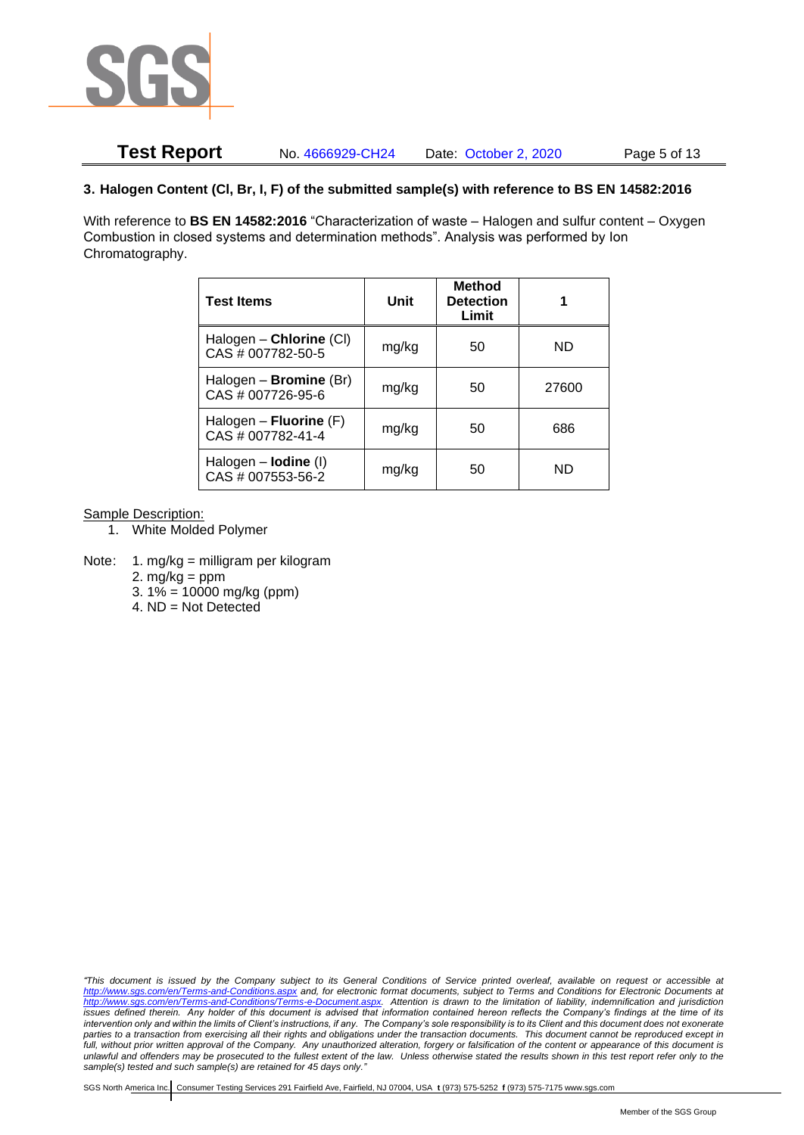

# **Test Report** No. 4666929-CH24 Date: October 2, 2020 Page 5 of 13

### **3. Halogen Content (Cl, Br, I, F) of the submitted sample(s) with reference to BS EN 14582:2016**

With reference to **BS EN 14582:2016** "Characterization of waste – Halogen and sulfur content – Oxygen Combustion in closed systems and determination methods". Analysis was performed by Ion Chromatography.

| <b>Test Items</b>                                  | Unit  | <b>Method</b><br><b>Detection</b><br>Limit |       |  |
|----------------------------------------------------|-------|--------------------------------------------|-------|--|
| Halogen - Chlorine (CI)<br>CAS # 007782-50-5       | mg/kg | 50                                         | ND    |  |
| Halogen - <b>Bromine</b> (Br)<br>CAS # 007726-95-6 | mg/kg | 50                                         | 27600 |  |
| Halogen – Fluorine $(F)$<br>CAS # 007782-41-4      | mg/kg | 50                                         | 686   |  |
| Halogen $-$ lodine (I)<br>CAS # 007553-56-2        | mg/kg | 50                                         | ND    |  |

Sample Description:

- 1. White Molded Polymer
- Note: 1. mg/kg = milligram per kilogram
	- 2.  $mg/kg = ppm$
	- 3.  $1\% = 10000$  mg/kg (ppm)
	- 4. ND = Not Detected

*"This document is issued by the Company subject to its General Conditions of Service printed overleaf, available on request or accessible at <http://www.sgs.com/en/Terms-and-Conditions.aspx> and, for electronic format documents, subject to Terms and Conditions for Electronic Documents at [http://www.sgs.com/en/Terms-and-Conditions/Terms-e-Document.aspx.](http://www.sgs.com/en/Terms-and-Conditions/Terms-e-Document.aspx) Attention is drawn to the limitation of liability, indemnification and jurisdiction issues defined therein. Any holder of this document is advised that information contained hereon reflects the Company's findings at the time of its intervention only and within the limits of Client's instructions, if any. The Company's sole responsibility is to its Client and this document does not exonerate parties to a transaction from exercising all their rights and obligations under the transaction documents. This document cannot be reproduced except in full, without prior written approval of the Company. Any unauthorized alteration, forgery or falsification of the content or appearance of this document is unlawful and offenders may be prosecuted to the fullest extent of the law. Unless otherwise stated the results shown in this test report refer only to the sample(s) tested and such sample(s) are retained for 45 days only."*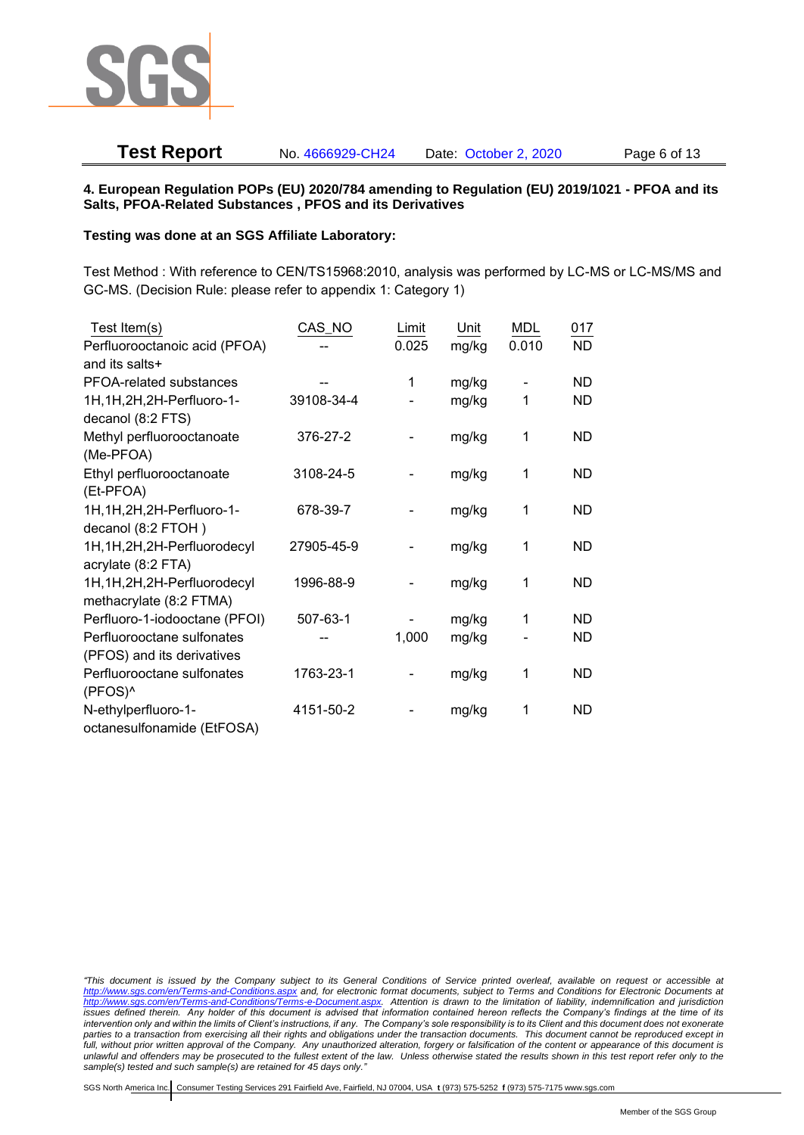

# **Test Report** No. 4666929-CH24 Date: October 2, 2020 Page 6 of 13

#### **4. European Regulation POPs (EU) 2020/784 amending to Regulation (EU) 2019/1021 - PFOA and its Salts, PFOA-Related Substances , PFOS and its Derivatives**

#### **Testing was done at an SGS Affiliate Laboratory:**

Test Method : With reference to CEN/TS15968:2010, analysis was performed by LC-MS or LC-MS/MS and GC-MS. (Decision Rule: please refer to appendix 1: Category 1)

| Test Item(s)                  | CAS_NO     | Limit | Unit  | MDL   | 017       |
|-------------------------------|------------|-------|-------|-------|-----------|
| Perfluorooctanoic acid (PFOA) |            | 0.025 | mg/kg | 0.010 | <b>ND</b> |
| and its salts+                |            |       |       |       |           |
| PFOA-related substances       |            | 1     | mg/kg |       | ND        |
| 1H, 1H, 2H, 2H-Perfluoro-1-   | 39108-34-4 |       | mg/kg | 1     | ND        |
| decanol (8:2 FTS)             |            |       |       |       |           |
| Methyl perfluorooctanoate     | 376-27-2   |       | mg/kg | 1     | <b>ND</b> |
| (Me-PFOA)                     |            |       |       |       |           |
| Ethyl perfluorooctanoate      | 3108-24-5  |       | mg/kg | 1     | <b>ND</b> |
| (Et-PFOA)                     |            |       |       |       |           |
| 1H, 1H, 2H, 2H-Perfluoro-1-   | 678-39-7   |       | mg/kg | 1     | <b>ND</b> |
| decanol (8:2 FTOH)            |            |       |       |       |           |
| 1H, 1H, 2H, 2H-Perfluorodecyl | 27905-45-9 |       | mg/kg | 1     | <b>ND</b> |
| acrylate (8:2 FTA)            |            |       |       |       |           |
| 1H, 1H, 2H, 2H-Perfluorodecyl | 1996-88-9  |       | mg/kg | 1     | <b>ND</b> |
| methacrylate (8:2 FTMA)       |            |       |       |       |           |
| Perfluoro-1-iodooctane (PFOI) | 507-63-1   |       | mg/kg | 1     | <b>ND</b> |
| Perfluorooctane sulfonates    |            | 1,000 | mg/kg |       | <b>ND</b> |
| (PFOS) and its derivatives    |            |       |       |       |           |
| Perfluorooctane sulfonates    | 1763-23-1  |       | mg/kg | 1     | <b>ND</b> |
| (PFOS)^                       |            |       |       |       |           |
| N-ethylperfluoro-1-           | 4151-50-2  |       | mg/kg | 1     | <b>ND</b> |
| octanesulfonamide (EtFOSA)    |            |       |       |       |           |

*<sup>&</sup>quot;This document is issued by the Company subject to its General Conditions of Service printed overleaf, available on request or accessible at <http://www.sgs.com/en/Terms-and-Conditions.aspx> and, for electronic format documents, subject to Terms and Conditions for Electronic Documents at [http://www.sgs.com/en/Terms-and-Conditions/Terms-e-Document.aspx.](http://www.sgs.com/en/Terms-and-Conditions/Terms-e-Document.aspx) Attention is drawn to the limitation of liability, indemnification and jurisdiction issues defined therein. Any holder of this document is advised that information contained hereon reflects the Company's findings at the time of its intervention only and within the limits of Client's instructions, if any. The Company's sole responsibility is to its Client and this document does not exonerate parties to a transaction from exercising all their rights and obligations under the transaction documents. This document cannot be reproduced except in full, without prior written approval of the Company. Any unauthorized alteration, forgery or falsification of the content or appearance of this document is unlawful and offenders may be prosecuted to the fullest extent of the law. Unless otherwise stated the results shown in this test report refer only to the sample(s) tested and such sample(s) are retained for 45 days only."*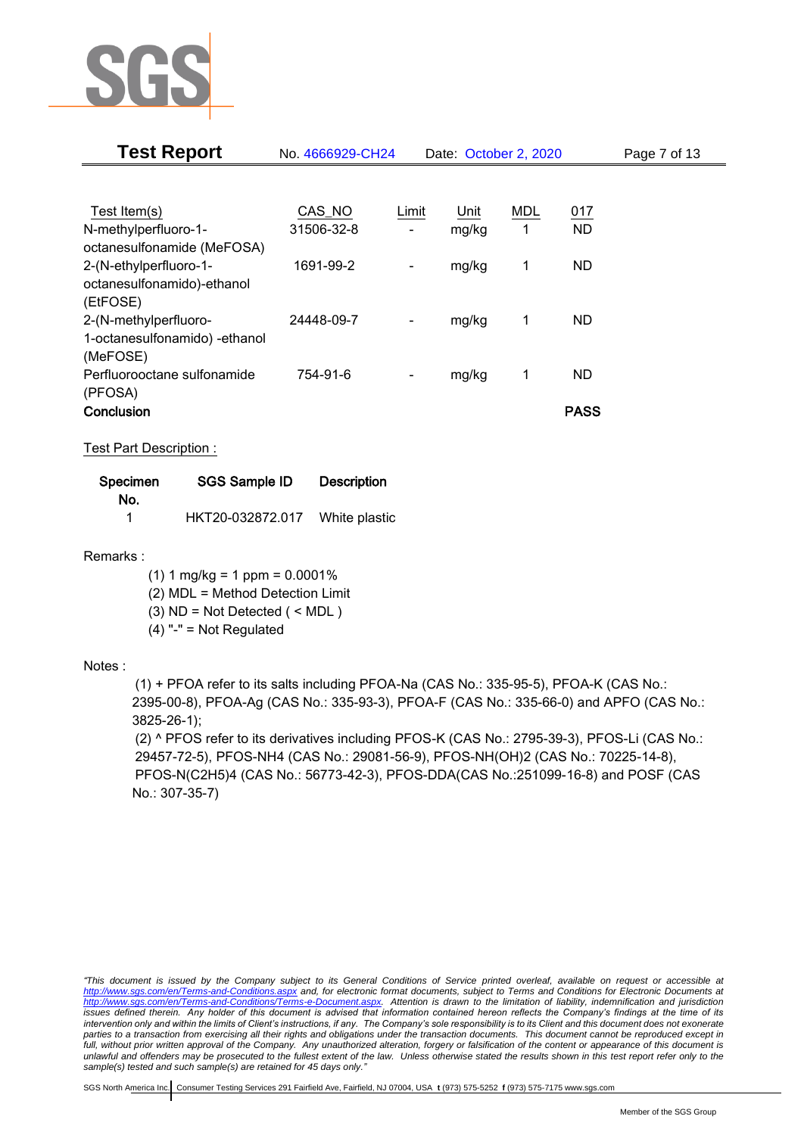

| <b>Test Report</b>             | No. 4666929-CH24 |                              | Date: October 2, 2020 |     |             | Page 7 of 13 |
|--------------------------------|------------------|------------------------------|-----------------------|-----|-------------|--------------|
|                                |                  |                              |                       |     |             |              |
| Test Item(s)                   | CAS_NO           | Limit                        | Unit                  | MDL | 017         |              |
| N-methylperfluoro-1-           | 31506-32-8       |                              | mg/kg                 | 1   | <b>ND</b>   |              |
| octanesulfonamide (MeFOSA)     |                  |                              |                       |     |             |              |
| 2-(N-ethylperfluoro-1-         | 1691-99-2        | -                            | mg/kg                 | 1   | <b>ND</b>   |              |
| octanesulfonamido)-ethanol     |                  |                              |                       |     |             |              |
| (EtFOSE)                       |                  |                              |                       |     |             |              |
| 2-(N-methylperfluoro-          | 24448-09-7       | $\qquad \qquad \blacksquare$ | mg/kg                 | 1   | <b>ND</b>   |              |
| 1-octanesulfonamido) - ethanol |                  |                              |                       |     |             |              |
| (MeFOSE)                       |                  |                              |                       |     |             |              |
| Perfluorooctane sulfonamide    | 754-91-6         |                              | mg/kg                 | 1   | <b>ND</b>   |              |
| (PFOSA)                        |                  |                              |                       |     |             |              |
| Conclusion                     |                  |                              |                       |     | <b>PASS</b> |              |

Test Part Description :

| Specimen | SGS Sample ID    | <b>Description</b> |
|----------|------------------|--------------------|
| No.      |                  |                    |
|          | HKT20-032872.017 | White plastic      |

Remarks :

 $(1)$  1 mg/kg = 1 ppm = 0.0001%

(2) MDL = Method Detection Limit

(3) ND = Not Detected ( < MDL )

(4) "-" = Not Regulated

## Notes :

(1) + PFOA refer to its salts including PFOA-Na (CAS No.: 335-95-5), PFOA-K (CAS No.: 2395-00-8), PFOA-Ag (CAS No.: 335-93-3), PFOA-F (CAS No.: 335-66-0) and APFO (CAS No.: 3825-26-1);

(2) ^ PFOS refer to its derivatives including PFOS-K (CAS No.: 2795-39-3), PFOS-Li (CAS No.: 29457-72-5), PFOS-NH4 (CAS No.: 29081-56-9), PFOS-NH(OH)2 (CAS No.: 70225-14-8), PFOS-N(C2H5)4 (CAS No.: 56773-42-3), PFOS-DDA(CAS No.:251099-16-8) and POSF (CAS No.: 307-35-7)

*"This document is issued by the Company subject to its General Conditions of Service printed overleaf, available on request or accessible at <http://www.sgs.com/en/Terms-and-Conditions.aspx> and, for electronic format documents, subject to Terms and Conditions for Electronic Documents at [http://www.sgs.com/en/Terms-and-Conditions/Terms-e-Document.aspx.](http://www.sgs.com/en/Terms-and-Conditions/Terms-e-Document.aspx) Attention is drawn to the limitation of liability, indemnification and jurisdiction issues defined therein. Any holder of this document is advised that information contained hereon reflects the Company's findings at the time of its intervention only and within the limits of Client's instructions, if any. The Company's sole responsibility is to its Client and this document does not exonerate parties to a transaction from exercising all their rights and obligations under the transaction documents. This document cannot be reproduced except in full, without prior written approval of the Company. Any unauthorized alteration, forgery or falsification of the content or appearance of this document is unlawful and offenders may be prosecuted to the fullest extent of the law. Unless otherwise stated the results shown in this test report refer only to the sample(s) tested and such sample(s) are retained for 45 days only."*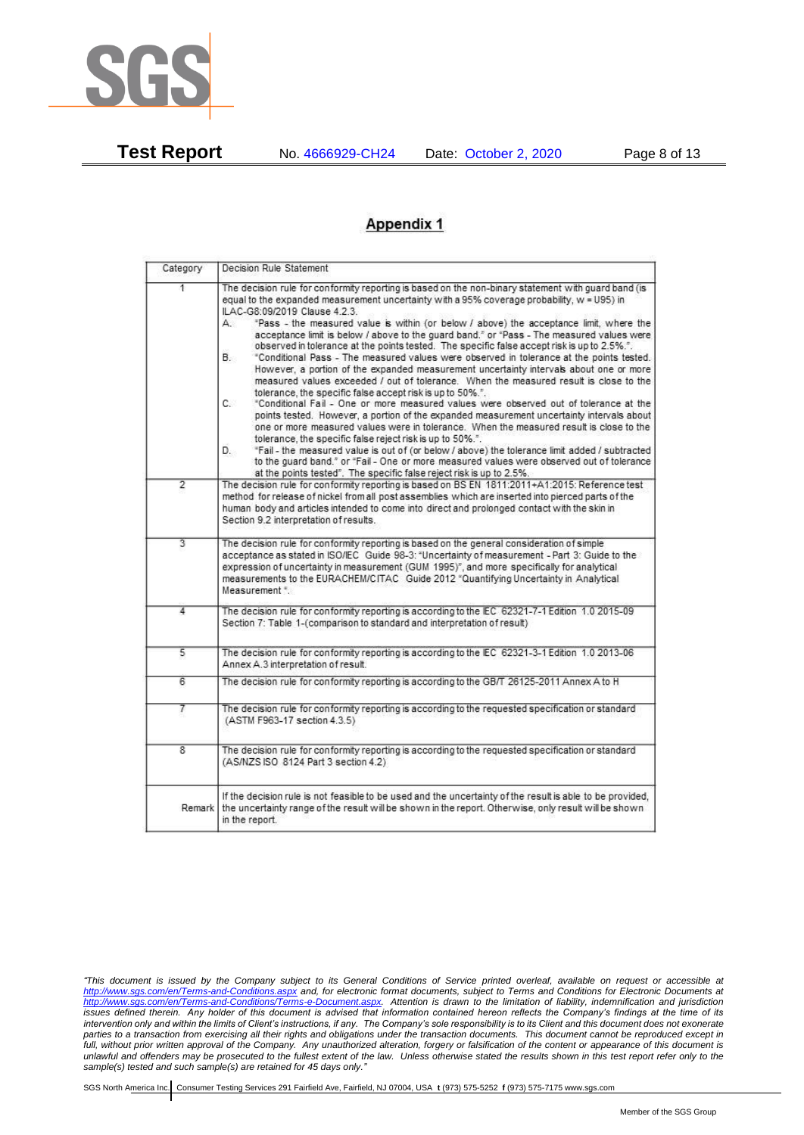

**Test Report** No. 4666929-CH24 Date: October 2, 2020 Page 8 of 13

# **Appendix 1**

| Category       | Decision Rule Statement                                                                                                                                                                                                                                                                                                                                                                                                                                                                                                                                                                                                                                                                                                                                                                                                                                                                                                                                                                                                                                                                                                                                                                                                                                                                                                                                                                                                                    |  |  |  |  |  |
|----------------|--------------------------------------------------------------------------------------------------------------------------------------------------------------------------------------------------------------------------------------------------------------------------------------------------------------------------------------------------------------------------------------------------------------------------------------------------------------------------------------------------------------------------------------------------------------------------------------------------------------------------------------------------------------------------------------------------------------------------------------------------------------------------------------------------------------------------------------------------------------------------------------------------------------------------------------------------------------------------------------------------------------------------------------------------------------------------------------------------------------------------------------------------------------------------------------------------------------------------------------------------------------------------------------------------------------------------------------------------------------------------------------------------------------------------------------------|--|--|--|--|--|
| 1.             | The decision rule for conformity reporting is based on the non-binary statement with guard band (is<br>equal to the expanded measurement uncertainty with a 95% coverage probability, w = U95) in<br>ILAC-G8:09/2019 Clause 4.2.3.<br>"Pass - the measured value is within (or below / above) the acceptance limit, where the<br>А.<br>acceptance limit is below / above to the quard band," or "Pass - The measured values were<br>observed in tolerance at the points tested. The specific false accept risk is up to 2.5%.".<br>В.<br>"Conditional Pass - The measured values were observed in tolerance at the points tested.<br>However, a portion of the expanded measurement uncertainty intervals about one or more<br>measured values exceeded / out of tolerance. When the measured result is close to the<br>tolerance, the specific false accept risk is up to 50%.".<br>C.<br>"Conditional Fail - One or more measured values were observed out of tolerance at the<br>points tested. However, a portion of the expanded measurement uncertainty intervals about<br>one or more measured values were in tolerance. When the measured result is close to the<br>tolerance, the specific false reject risk is up to 50%.".<br>"Fail - the measured value is out of (or below / above) the tolerance limit added / subtracted<br>D.<br>to the quard band," or "Fail - One or more measured values were observed out of tolerance |  |  |  |  |  |
| $\overline{2}$ | at the points tested". The specific false reject risk is up to 2.5%.<br>The decision rule for conformity reporting is based on BS EN 1811:2011+A1:2015: Reference test<br>method for release of nickel from all post assemblies which are inserted into pierced parts of the<br>human body and articles intended to come into direct and prolonged contact with the skin in<br>Section 9.2 interpretation of results.                                                                                                                                                                                                                                                                                                                                                                                                                                                                                                                                                                                                                                                                                                                                                                                                                                                                                                                                                                                                                      |  |  |  |  |  |
| $\overline{3}$ | The decision rule for conformity reporting is based on the general consideration of simple<br>acceptance as stated in ISO/IEC Guide 98-3: "Uncertainty of measurement - Part 3: Guide to the<br>expression of uncertainty in measurement (GUM 1995)", and more specifically for analytical<br>measurements to the EURACHEM/CITAC Guide 2012 "Quantifying Uncertainty in Analytical<br>Measurement *                                                                                                                                                                                                                                                                                                                                                                                                                                                                                                                                                                                                                                                                                                                                                                                                                                                                                                                                                                                                                                        |  |  |  |  |  |
| 4              | The decision rule for conformity reporting is according to the IEC 62321-7-1 Edition 1.0 2015-09<br>Section 7: Table 1-(comparison to standard and interpretation of result)                                                                                                                                                                                                                                                                                                                                                                                                                                                                                                                                                                                                                                                                                                                                                                                                                                                                                                                                                                                                                                                                                                                                                                                                                                                               |  |  |  |  |  |
| 5              | The decision rule for conformity reporting is according to the IEC 62321-3-1 Edition 1.0 2013-06<br>Annex A.3 interpretation of result.                                                                                                                                                                                                                                                                                                                                                                                                                                                                                                                                                                                                                                                                                                                                                                                                                                                                                                                                                                                                                                                                                                                                                                                                                                                                                                    |  |  |  |  |  |
| 6              | The decision rule for conformity reporting is according to the GB/T 26125-2011 Annex A to H                                                                                                                                                                                                                                                                                                                                                                                                                                                                                                                                                                                                                                                                                                                                                                                                                                                                                                                                                                                                                                                                                                                                                                                                                                                                                                                                                |  |  |  |  |  |
| 7              | The decision rule for conformity reporting is according to the requested specification or standard<br>(ASTM F963-17 section 4.3.5)                                                                                                                                                                                                                                                                                                                                                                                                                                                                                                                                                                                                                                                                                                                                                                                                                                                                                                                                                                                                                                                                                                                                                                                                                                                                                                         |  |  |  |  |  |
| 8              | The decision rule for conformity reporting is according to the requested specification or standard<br>(AS/NZS ISO 8124 Part 3 section 4.2)                                                                                                                                                                                                                                                                                                                                                                                                                                                                                                                                                                                                                                                                                                                                                                                                                                                                                                                                                                                                                                                                                                                                                                                                                                                                                                 |  |  |  |  |  |
| Remark         | If the decision rule is not feasible to be used and the uncertainty of the result is able to be provided,<br>the uncertainty range of the result will be shown in the report. Otherwise, only result will be shown<br>in the report.                                                                                                                                                                                                                                                                                                                                                                                                                                                                                                                                                                                                                                                                                                                                                                                                                                                                                                                                                                                                                                                                                                                                                                                                       |  |  |  |  |  |

*<sup>&</sup>quot;This document is issued by the Company subject to its General Conditions of Service printed overleaf, available on request or accessible at <http://www.sgs.com/en/Terms-and-Conditions.aspx> and, for electronic format documents, subject to Terms and Conditions for Electronic Documents at [http://www.sgs.com/en/Terms-and-Conditions/Terms-e-Document.aspx.](http://www.sgs.com/en/Terms-and-Conditions/Terms-e-Document.aspx) Attention is drawn to the limitation of liability, indemnification and jurisdiction issues defined therein. Any holder of this document is advised that information contained hereon reflects the Company's findings at the time of its intervention only and within the limits of Client's instructions, if any. The Company's sole responsibility is to its Client and this document does not exonerate parties to a transaction from exercising all their rights and obligations under the transaction documents. This document cannot be reproduced except in full, without prior written approval of the Company. Any unauthorized alteration, forgery or falsification of the content or appearance of this document is unlawful and offenders may be prosecuted to the fullest extent of the law. Unless otherwise stated the results shown in this test report refer only to the sample(s) tested and such sample(s) are retained for 45 days only."*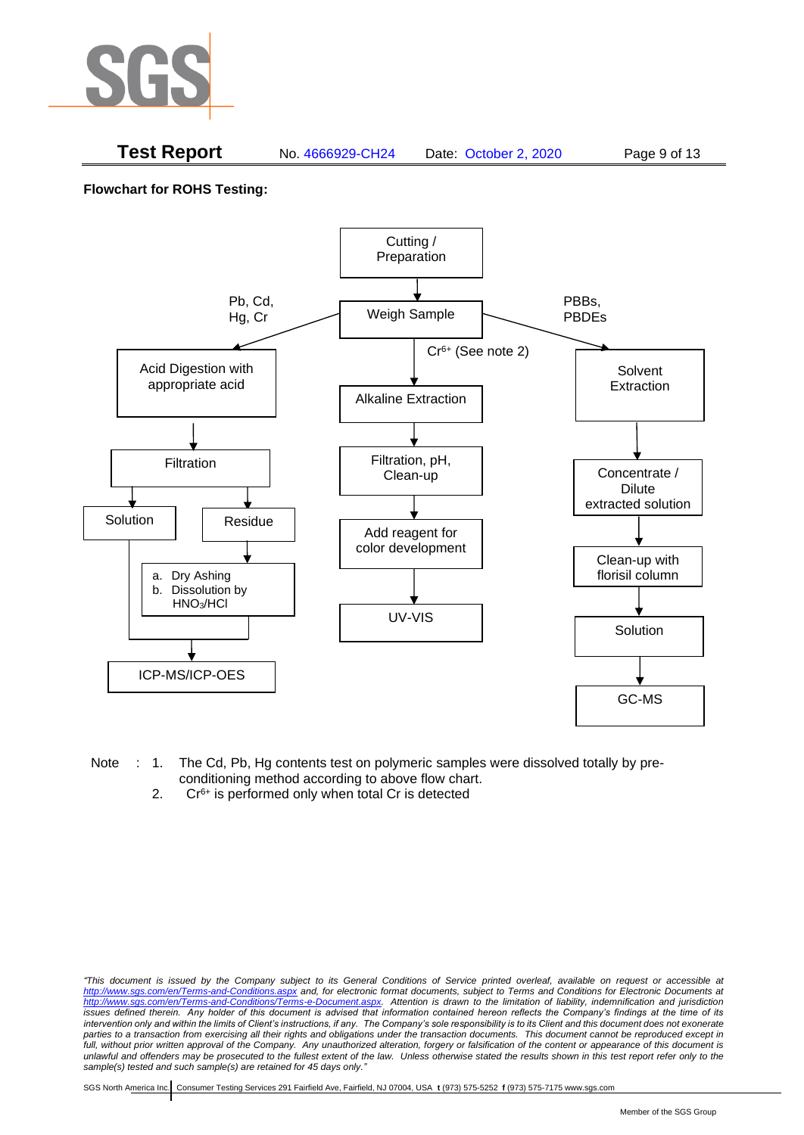

# **Test Report** No. 4666929-CH24 Date: October 2, 2020 Page 9 of 13

**Flowchart for ROHS Testing:**



- Note : 1. The Cd, Pb, Hg contents test on polymeric samples were dissolved totally by preconditioning method according to above flow chart.
	- 2.  $Cr<sup>6+</sup>$  is performed only when total Cr is detected

*<sup>&</sup>quot;This document is issued by the Company subject to its General Conditions of Service printed overleaf, available on request or accessible at <http://www.sgs.com/en/Terms-and-Conditions.aspx> and, for electronic format documents, subject to Terms and Conditions for Electronic Documents at [http://www.sgs.com/en/Terms-and-Conditions/Terms-e-Document.aspx.](http://www.sgs.com/en/Terms-and-Conditions/Terms-e-Document.aspx) Attention is drawn to the limitation of liability, indemnification and jurisdiction issues defined therein. Any holder of this document is advised that information contained hereon reflects the Company's findings at the time of its intervention only and within the limits of Client's instructions, if any. The Company's sole responsibility is to its Client and this document does not exonerate parties to a transaction from exercising all their rights and obligations under the transaction documents. This document cannot be reproduced except in full, without prior written approval of the Company. Any unauthorized alteration, forgery or falsification of the content or appearance of this document is unlawful and offenders may be prosecuted to the fullest extent of the law. Unless otherwise stated the results shown in this test report refer only to the sample(s) tested and such sample(s) are retained for 45 days only."*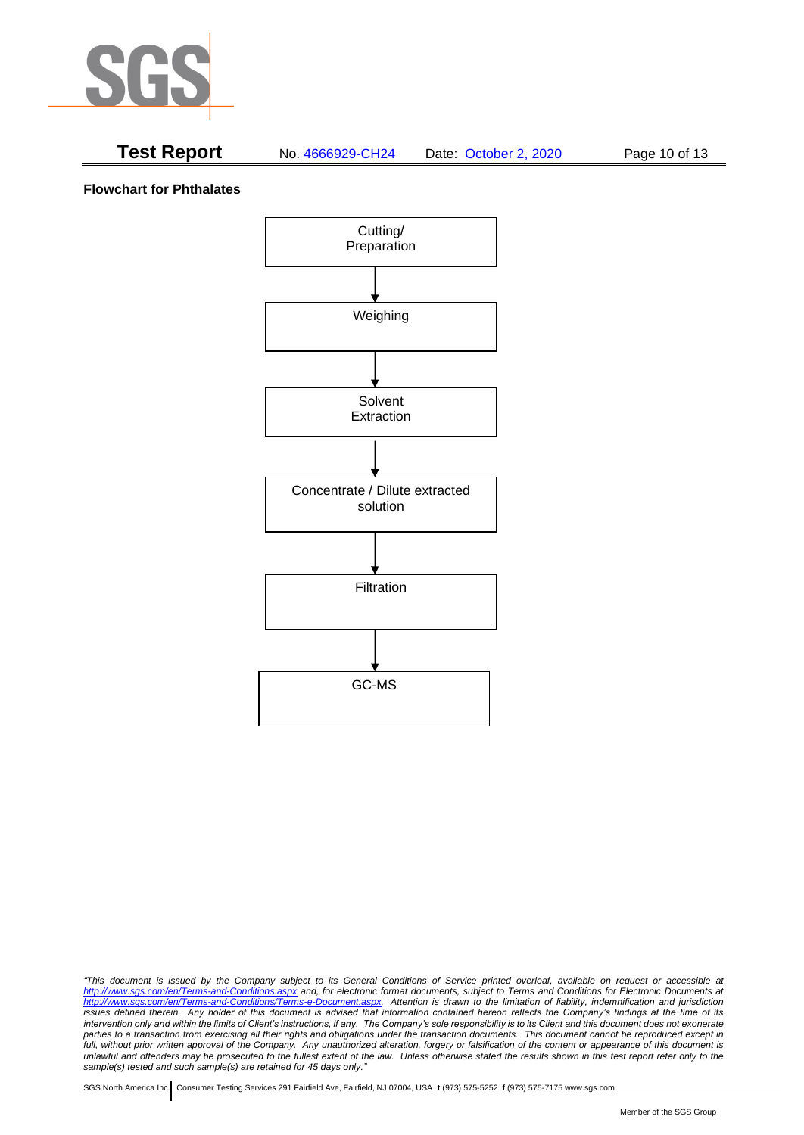

# **Test Report** No. 4666929-CH24 Date: October 2, 2020 Page 10 of 13

#### **Flowchart for Phthalates**



*<sup>&</sup>quot;This document is issued by the Company subject to its General Conditions of Service printed overleaf, available on request or accessible at <http://www.sgs.com/en/Terms-and-Conditions.aspx> and, for electronic format documents, subject to Terms and Conditions for Electronic Documents at [http://www.sgs.com/en/Terms-and-Conditions/Terms-e-Document.aspx.](http://www.sgs.com/en/Terms-and-Conditions/Terms-e-Document.aspx) Attention is drawn to the limitation of liability, indemnification and jurisdiction issues defined therein. Any holder of this document is advised that information contained hereon reflects the Company's findings at the time of its intervention only and within the limits of Client's instructions, if any. The Company's sole responsibility is to its Client and this document does not exonerate parties to a transaction from exercising all their rights and obligations under the transaction documents. This document cannot be reproduced except in full, without prior written approval of the Company. Any unauthorized alteration, forgery or falsification of the content or appearance of this document is unlawful and offenders may be prosecuted to the fullest extent of the law. Unless otherwise stated the results shown in this test report refer only to the sample(s) tested and such sample(s) are retained for 45 days only."*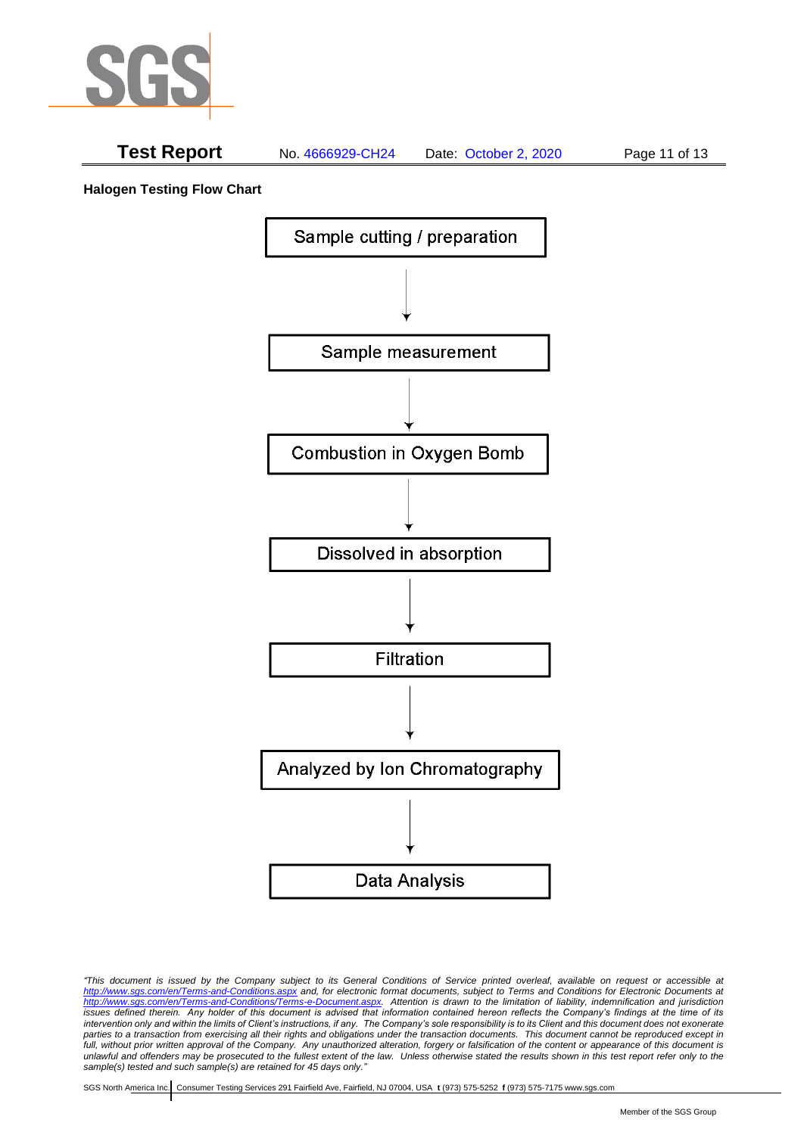

# **Test Report** No. 4666929-CH24 Date: October 2, 2020 Page 11 of 13

**Halogen Testing Flow Chart**



*"This document is issued by the Company subject to its General Conditions of Service printed overleaf, available on request or accessible at <http://www.sgs.com/en/Terms-and-Conditions.aspx> and, for electronic format documents, subject to Terms and Conditions for Electronic Documents at [http://www.sgs.com/en/Terms-and-Conditions/Terms-e-Document.aspx.](http://www.sgs.com/en/Terms-and-Conditions/Terms-e-Document.aspx) Attention is drawn to the limitation of liability, indemnification and jurisdiction issues defined therein. Any holder of this document is advised that information contained hereon reflects the Company's findings at the time of its intervention only and within the limits of Client's instructions, if any. The Company's sole responsibility is to its Client and this document does not exonerate parties to a transaction from exercising all their rights and obligations under the transaction documents. This document cannot be reproduced except in full, without prior written approval of the Company. Any unauthorized alteration, forgery or falsification of the content or appearance of this document is unlawful and offenders may be prosecuted to the fullest extent of the law. Unless otherwise stated the results shown in this test report refer only to the sample(s) tested and such sample(s) are retained for 45 days only."*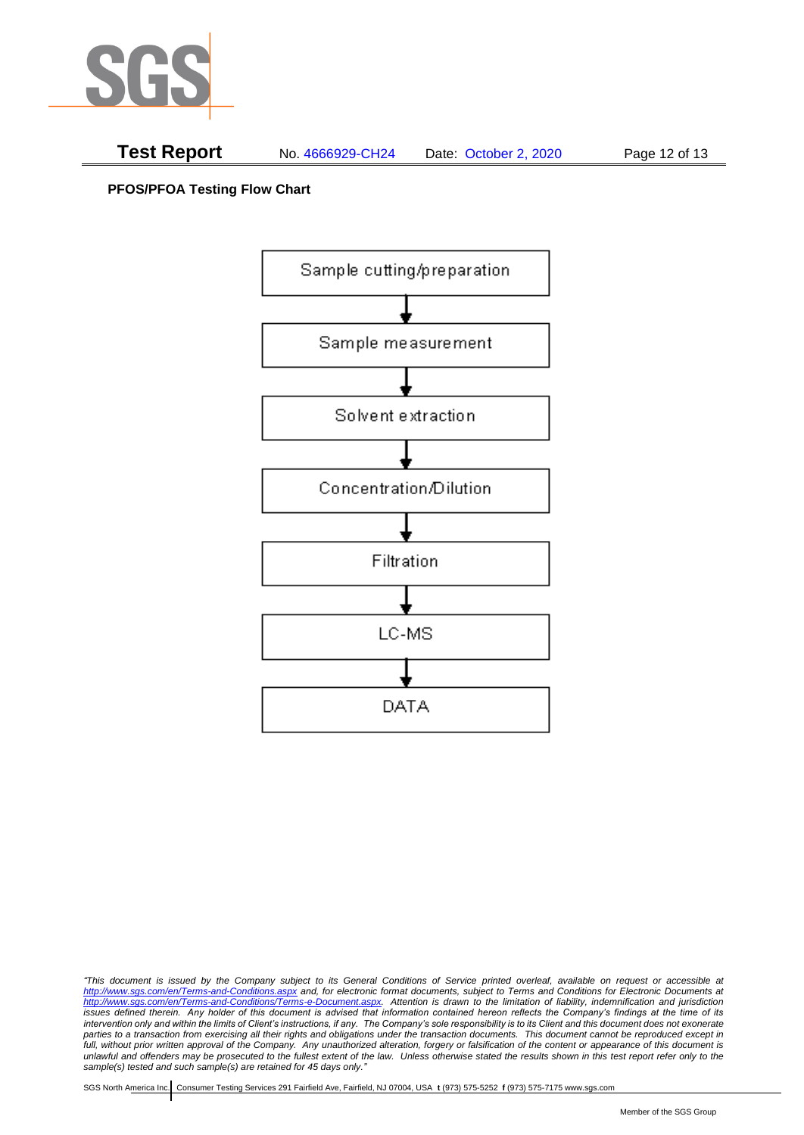

**PFOS/PFOA Testing Flow Chart**



*<sup>&</sup>quot;This document is issued by the Company subject to its General Conditions of Service printed overleaf, available on request or accessible at <http://www.sgs.com/en/Terms-and-Conditions.aspx> and, for electronic format documents, subject to Terms and Conditions for Electronic Documents at [http://www.sgs.com/en/Terms-and-Conditions/Terms-e-Document.aspx.](http://www.sgs.com/en/Terms-and-Conditions/Terms-e-Document.aspx) Attention is drawn to the limitation of liability, indemnification and jurisdiction issues defined therein. Any holder of this document is advised that information contained hereon reflects the Company's findings at the time of its intervention only and within the limits of Client's instructions, if any. The Company's sole responsibility is to its Client and this document does not exonerate parties to a transaction from exercising all their rights and obligations under the transaction documents. This document cannot be reproduced except in full, without prior written approval of the Company. Any unauthorized alteration, forgery or falsification of the content or appearance of this document is unlawful and offenders may be prosecuted to the fullest extent of the law. Unless otherwise stated the results shown in this test report refer only to the sample(s) tested and such sample(s) are retained for 45 days only."*